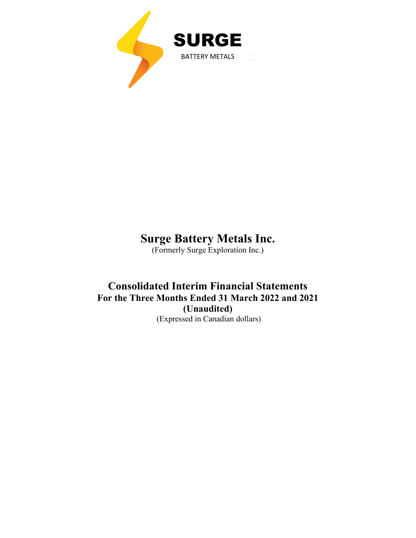

# **Surge Battery Metals Inc.**

(Formerly Surge Exploration Inc.)

## **Consolidated Interim Financial Statements For the Three Months Ended 31 March 2022 and 2021 (Unaudited)** (Expressed in Canadian dollars)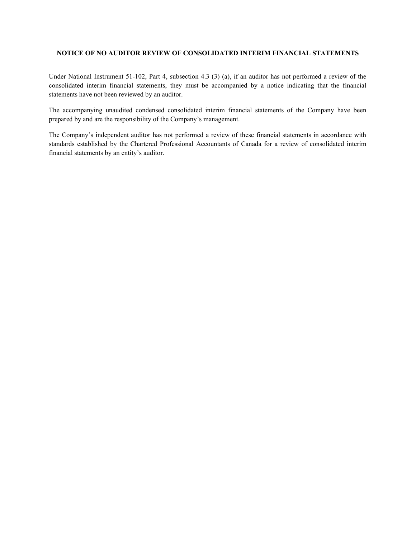#### **NOTICE OF NO AUDITOR REVIEW OF CONSOLIDATED INTERIM FINANCIAL STATEMENTS**

Under National Instrument 51-102, Part 4, subsection 4.3 (3) (a), if an auditor has not performed a review of the consolidated interim financial statements, they must be accompanied by a notice indicating that the financial statements have not been reviewed by an auditor.

The accompanying unaudited condensed consolidated interim financial statements of the Company have been prepared by and are the responsibility of the Company's management.

The Company's independent auditor has not performed a review of these financial statements in accordance with standards established by the Chartered Professional Accountants of Canada for a review of consolidated interim financial statements by an entity's auditor.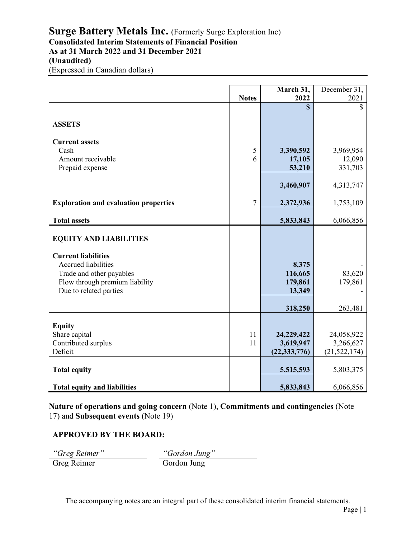## **Surge Battery Metals Inc.** (Formerly Surge Exploration Inc) **Consolidated Interim Statements of Financial Position As at 31 March 2022 and 31 December 2021 (Unaudited)**

(Expressed in Canadian dollars)

|                                                          |              | March 31,      | December 31,   |
|----------------------------------------------------------|--------------|----------------|----------------|
|                                                          | <b>Notes</b> | 2022           | 2021           |
|                                                          |              | \$             | \$             |
| <b>ASSETS</b>                                            |              |                |                |
| <b>Current assets</b>                                    |              |                |                |
| Cash                                                     | 5            | 3,390,592      | 3,969,954      |
| Amount receivable                                        | 6            | 17,105         | 12,090         |
| Prepaid expense                                          |              | 53,210         | 331,703        |
|                                                          |              | 3,460,907      | 4,313,747      |
| <b>Exploration and evaluation properties</b>             | 7            | 2,372,936      | 1,753,109      |
| <b>Total assets</b>                                      |              | 5,833,843      | 6,066,856      |
| <b>EQUITY AND LIABILITIES</b>                            |              |                |                |
| <b>Current liabilities</b><br><b>Accrued liabilities</b> |              | 8,375          |                |
| Trade and other payables                                 |              | 116,665        | 83,620         |
| Flow through premium liability                           |              | 179,861        | 179,861        |
| Due to related parties                                   |              | 13,349         |                |
|                                                          |              | 318,250        | 263,481        |
|                                                          |              |                |                |
| <b>Equity</b>                                            |              |                |                |
| Share capital                                            | 11           | 24,229,422     | 24,058,922     |
| Contributed surplus                                      | 11           | 3,619,947      | 3,266,627      |
| Deficit                                                  |              | (22, 333, 776) | (21, 522, 174) |
| <b>Total equity</b>                                      |              | 5,515,593      | 5,803,375      |
| <b>Total equity and liabilities</b>                      |              | 5,833,843      | 6,066,856      |

**Nature of operations and going concern** (Note 1), **Commitments and contingencies** (Note 17) and **Subsequent events** (Note 19)

### **APPROVED BY THE BOARD:**

*"Greg Reimer" "Gordon Jung"* Greg Reimer Gordon Jung

The accompanying notes are an integral part of these consolidated interim financial statements.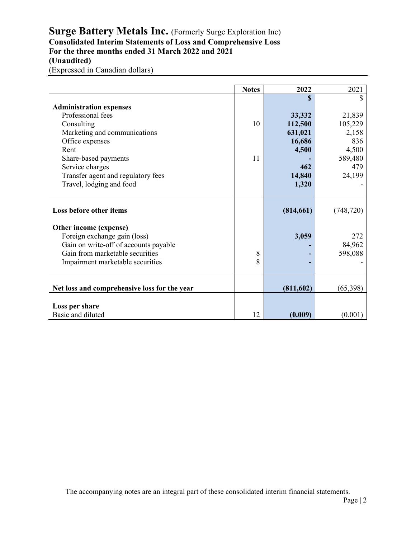## Surge Battery Metals Inc. (Formerly Surge Exploration Inc) **Consolidated Interim Statements of Loss and Comprehensive Loss For the three months ended 31 March 2022 and 2021 (Unaudited)**

(Expressed in Canadian dollars)

|                                              | <b>Notes</b> | 2022         | 2021       |
|----------------------------------------------|--------------|--------------|------------|
|                                              |              | $\mathbf{s}$ | \$         |
| <b>Administration expenses</b>               |              |              |            |
| Professional fees                            |              | 33,332       | 21,839     |
| Consulting                                   | 10           | 112,500      | 105,229    |
| Marketing and communications                 |              | 631,021      | 2,158      |
| Office expenses                              |              | 16,686       | 836        |
| Rent                                         |              | 4,500        | 4,500      |
| Share-based payments                         | 11           |              | 589,480    |
| Service charges                              |              | 462          | 479        |
| Transfer agent and regulatory fees           |              | 14,840       | 24,199     |
| Travel, lodging and food                     |              | 1,320        |            |
|                                              |              |              |            |
| Loss before other items                      |              | (814, 661)   | (748, 720) |
| Other income (expense)                       |              |              |            |
| Foreign exchange gain (loss)                 |              | 3,059        | 272        |
| Gain on write-off of accounts payable        |              |              | 84,962     |
| Gain from marketable securities              | 8            |              | 598,088    |
| Impairment marketable securities             | 8            |              |            |
|                                              |              |              |            |
| Net loss and comprehensive loss for the year |              | (811, 602)   | (65,398)   |
|                                              |              |              |            |
| Loss per share<br>Basic and diluted          | 12           | (0.009)      | (0.001)    |
|                                              |              |              |            |

The accompanying notes are an integral part of these consolidated interim financial statements.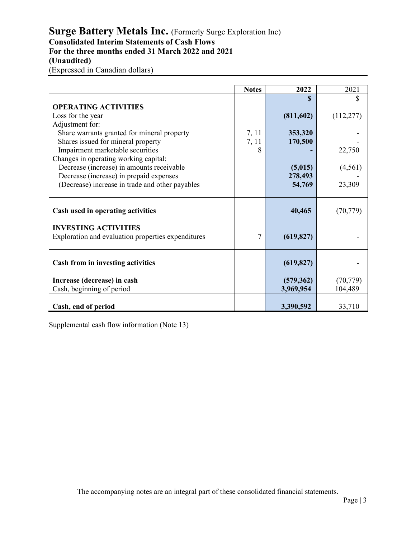## Surge Battery Metals Inc. (Formerly Surge Exploration Inc) **Consolidated Interim Statements of Cash Flows For the three months ended 31 March 2022 and 2021 (Unaudited)**

(Expressed in Canadian dollars)

|                                                    | <b>Notes</b> | 2022       | 2021       |
|----------------------------------------------------|--------------|------------|------------|
|                                                    |              |            | \$         |
| <b>OPERATING ACTIVITIES</b>                        |              |            |            |
| Loss for the year                                  |              | (811,602)  | (112, 277) |
| Adjustment for:                                    |              |            |            |
| Share warrants granted for mineral property        | 7, 11        | 353,320    |            |
| Shares issued for mineral property                 | 7, 11        | 170,500    |            |
| Impairment marketable securities                   | 8            |            | 22,750     |
| Changes in operating working capital:              |              |            |            |
| Decrease (increase) in amounts receivable          |              | (5,015)    | (4, 561)   |
| Decrease (increase) in prepaid expenses            |              | 278,493    |            |
| (Decrease) increase in trade and other payables    |              | 54,769     | 23,309     |
|                                                    |              |            |            |
|                                                    |              |            |            |
| Cash used in operating activities                  |              | 40,465     | (70, 779)  |
|                                                    |              |            |            |
| <b>INVESTING ACTIVITIES</b>                        |              |            |            |
| Exploration and evaluation properties expenditures | 7            | (619, 827) |            |
|                                                    |              |            |            |
|                                                    |              |            |            |
| Cash from in investing activities                  |              | (619, 827) |            |
|                                                    |              |            |            |
| Increase (decrease) in cash                        |              | (579,362)  | (70, 779)  |
| Cash, beginning of period                          |              | 3,969,954  | 104,489    |
|                                                    |              |            |            |
| Cash, end of period                                |              | 3,390,592  | 33,710     |

Supplemental cash flow information (Note 13)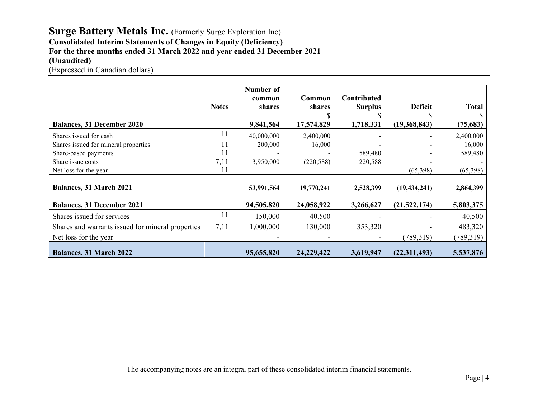## Surge Battery Metals Inc. (Formerly Surge Exploration Inc) **Consolidated Interim Statements of Changes in Equity (Deficiency) For the three months ended 31 March 2022 and year ended 31 December 2021 (Unaudited)**

(Expressed in Canadian dollars)

|                                                   | <b>Notes</b> | Number of<br>common<br>shares | Common<br>shares | <b>Contributed</b><br><b>Surplus</b> | Deficit        | <b>Total</b> |
|---------------------------------------------------|--------------|-------------------------------|------------------|--------------------------------------|----------------|--------------|
| <b>Balances, 31 December 2020</b>                 |              | 9,841,564                     | 17,574,829       | 1,718,331                            | (19,368,843)   | (75, 683)    |
|                                                   |              |                               |                  |                                      |                |              |
| Shares issued for cash                            | 11           | 40,000,000                    | 2,400,000        | -                                    |                | 2,400,000    |
| Shares issued for mineral properties              | 11           | 200,000                       | 16,000           |                                      |                | 16,000       |
| Share-based payments                              | 11           |                               |                  | 589,480                              |                | 589,480      |
| Share issue costs                                 | 7,11         | 3,950,000                     | (220, 588)       | 220,588                              |                |              |
| Net loss for the year                             | 11           |                               |                  |                                      | (65,398)       | (65,398)     |
| <b>Balances, 31 March 2021</b>                    |              | 53,991,564                    | 19,770,241       | 2,528,399                            | (19, 434, 241) | 2,864,399    |
| <b>Balances, 31 December 2021</b>                 |              | 94,505,820                    | 24,058,922       | 3,266,627                            | (21,522,174)   | 5,803,375    |
| Shares issued for services                        | 11           | 150,000                       | 40,500           |                                      |                | 40,500       |
| Shares and warrants issued for mineral properties | 7,11         | 1,000,000                     | 130,000          | 353,320                              |                | 483,320      |
| Net loss for the year                             |              |                               |                  |                                      | (789, 319)     | (789, 319)   |
| <b>Balances, 31 March 2022</b>                    |              | 95,655,820                    | 24,229,422       | 3,619,947                            | (22,311,493)   | 5,537,876    |

The accompanying notes are an integral part of these consolidated interim financial statements.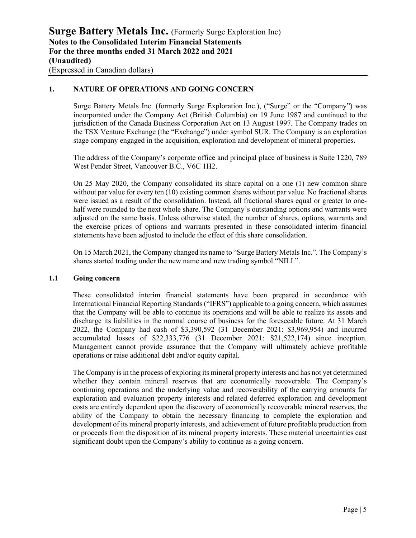### **1. NATURE OF OPERATIONS AND GOING CONCERN**

Surge Battery Metals Inc. (formerly Surge Exploration Inc.), ("Surge" or the "Company") was incorporated under the Company Act (British Columbia) on 19 June 1987 and continued to the jurisdiction of the Canada Business Corporation Act on 13 August 1997. The Company trades on the TSX Venture Exchange (the "Exchange") under symbol SUR. The Company is an exploration stage company engaged in the acquisition, exploration and development of mineral properties.

The address of the Company's corporate office and principal place of business is Suite 1220, 789 West Pender Street, Vancouver B.C., V6C 1H2.

On 25 May 2020, the Company consolidated its share capital on a one (1) new common share without par value for every ten (10) existing common shares without par value. No fractional shares were issued as a result of the consolidation. Instead, all fractional shares equal or greater to onehalf were rounded to the next whole share. The Company's outstanding options and warrants were adjusted on the same basis. Unless otherwise stated, the number of shares, options, warrants and the exercise prices of options and warrants presented in these consolidated interim financial statements have been adjusted to include the effect of this share consolidation.

On 15 March 2021, the Company changed its name to "Surge Battery Metals Inc.". The Company's shares started trading under the new name and new trading symbol "NILI ".

### **1.1 Going concern**

These consolidated interim financial statements have been prepared in accordance with International Financial Reporting Standards ("IFRS") applicable to a going concern, which assumes that the Company will be able to continue its operations and will be able to realize its assets and discharge its liabilities in the normal course of business for the foreseeable future. At 31 March 2022, the Company had cash of \$3,390,592 (31 December 2021: \$3,969,954) and incurred accumulated losses of \$22,333,776 (31 December 2021: \$21,522,174) since inception. Management cannot provide assurance that the Company will ultimately achieve profitable operations or raise additional debt and/or equity capital.

The Company is in the process of exploring its mineral property interests and has not yet determined whether they contain mineral reserves that are economically recoverable. The Company's continuing operations and the underlying value and recoverability of the carrying amounts for exploration and evaluation property interests and related deferred exploration and development costs are entirely dependent upon the discovery of economically recoverable mineral reserves, the ability of the Company to obtain the necessary financing to complete the exploration and development of its mineral property interests, and achievement of future profitable production from or proceeds from the disposition of its mineral property interests. These material uncertainties cast significant doubt upon the Company's ability to continue as a going concern.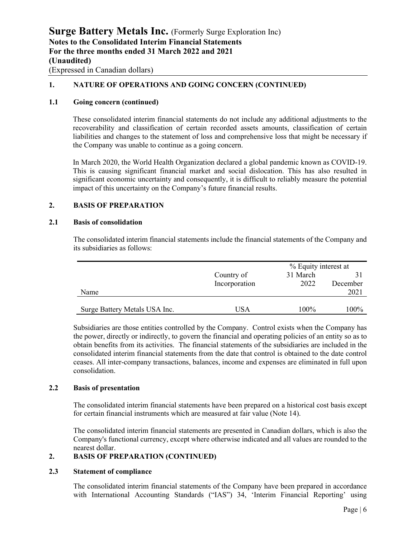### **1. NATURE OF OPERATIONS AND GOING CONCERN (CONTINUED)**

### **1.1 Going concern (continued)**

These consolidated interim financial statements do not include any additional adjustments to the recoverability and classification of certain recorded assets amounts, classification of certain liabilities and changes to the statement of loss and comprehensive loss that might be necessary if the Company was unable to continue as a going concern.

In March 2020, the World Health Organization declared a global pandemic known as COVID-19. This is causing significant financial market and social dislocation. This has also resulted in significant economic uncertainty and consequently, it is difficult to reliably measure the potential impact of this uncertainty on the Company's future financial results.

### **2. BASIS OF PREPARATION**

### **2.1 Basis of consolidation**

The consolidated interim financial statements include the financial statements of the Company and its subsidiaries as follows:

|                               |               | % Equity interest at |          |  |
|-------------------------------|---------------|----------------------|----------|--|
|                               | Country of    | 31 March             |          |  |
|                               | Incorporation | 2022                 | December |  |
| Name                          |               |                      | 2021     |  |
|                               |               |                      |          |  |
| Surge Battery Metals USA Inc. | USA           | 100%                 | 100%     |  |

Subsidiaries are those entities controlled by the Company. Control exists when the Company has the power, directly or indirectly, to govern the financial and operating policies of an entity so as to obtain benefits from its activities. The financial statements of the subsidiaries are included in the consolidated interim financial statements from the date that control is obtained to the date control ceases. All inter-company transactions, balances, income and expenses are eliminated in full upon consolidation.

#### **2.2 Basis of presentation**

The consolidated interim financial statements have been prepared on a historical cost basis except for certain financial instruments which are measured at fair value (Note 14).

The consolidated interim financial statements are presented in Canadian dollars, which is also the Company's functional currency, except where otherwise indicated and all values are rounded to the nearest dollar.

### **2. BASIS OF PREPARATION (CONTINUED)**

#### **2.3 Statement of compliance**

The consolidated interim financial statements of the Company have been prepared in accordance with International Accounting Standards ("IAS") 34, 'Interim Financial Reporting' using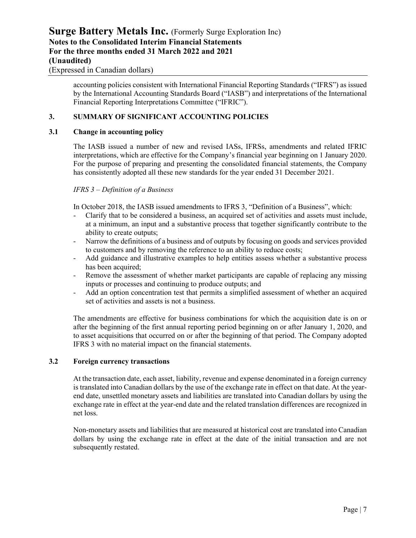accounting policies consistent with International Financial Reporting Standards ("IFRS") as issued by the International Accounting Standards Board ("IASB") and interpretations of the International Financial Reporting Interpretations Committee ("IFRIC").

### **3. SUMMARY OF SIGNIFICANT ACCOUNTING POLICIES**

### **3.1 Change in accounting policy**

The IASB issued a number of new and revised IASs, IFRSs, amendments and related IFRIC interpretations, which are effective for the Company's financial year beginning on 1 January 2020. For the purpose of preparing and presenting the consolidated financial statements, the Company has consistently adopted all these new standards for the year ended 31 December 2021.

#### *IFRS 3 – Definition of a Business*

In October 2018, the IASB issued amendments to IFRS 3, "Definition of a Business", which:

- Clarify that to be considered a business, an acquired set of activities and assets must include, at a minimum, an input and a substantive process that together significantly contribute to the ability to create outputs;
- Narrow the definitions of a business and of outputs by focusing on goods and services provided to customers and by removing the reference to an ability to reduce costs;
- Add guidance and illustrative examples to help entities assess whether a substantive process has been acquired;
- Remove the assessment of whether market participants are capable of replacing any missing inputs or processes and continuing to produce outputs; and
- Add an option concentration test that permits a simplified assessment of whether an acquired set of activities and assets is not a business.

The amendments are effective for business combinations for which the acquisition date is on or after the beginning of the first annual reporting period beginning on or after January 1, 2020, and to asset acquisitions that occurred on or after the beginning of that period. The Company adopted IFRS 3 with no material impact on the financial statements.

#### **3.2 Foreign currency transactions**

At the transaction date, each asset, liability, revenue and expense denominated in a foreign currency is translated into Canadian dollars by the use of the exchange rate in effect on that date. At the yearend date, unsettled monetary assets and liabilities are translated into Canadian dollars by using the exchange rate in effect at the year-end date and the related translation differences are recognized in net loss.

Non-monetary assets and liabilities that are measured at historical cost are translated into Canadian dollars by using the exchange rate in effect at the date of the initial transaction and are not subsequently restated.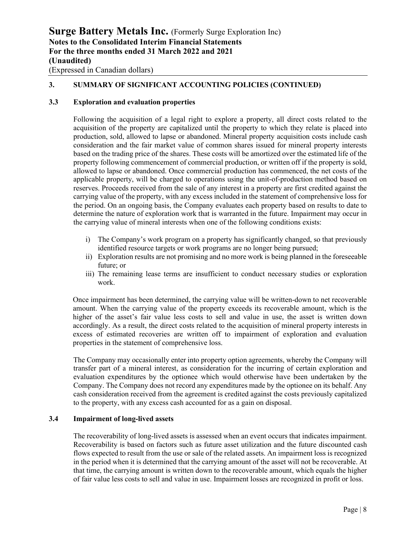### **3. SUMMARY OF SIGNIFICANT ACCOUNTING POLICIES (CONTINUED)**

### **3.3 Exploration and evaluation properties**

Following the acquisition of a legal right to explore a property, all direct costs related to the acquisition of the property are capitalized until the property to which they relate is placed into production, sold, allowed to lapse or abandoned. Mineral property acquisition costs include cash consideration and the fair market value of common shares issued for mineral property interests based on the trading price of the shares. These costs will be amortized over the estimated life of the property following commencement of commercial production, or written off if the property is sold, allowed to lapse or abandoned. Once commercial production has commenced, the net costs of the applicable property, will be charged to operations using the unit-of-production method based on reserves. Proceeds received from the sale of any interest in a property are first credited against the carrying value of the property, with any excess included in the statement of comprehensive loss for the period. On an ongoing basis, the Company evaluates each property based on results to date to determine the nature of exploration work that is warranted in the future. Impairment may occur in the carrying value of mineral interests when one of the following conditions exists:

- i) The Company's work program on a property has significantly changed, so that previously identified resource targets or work programs are no longer being pursued;
- ii) Exploration results are not promising and no more work is being planned in the foreseeable future; or
- iii) The remaining lease terms are insufficient to conduct necessary studies or exploration work.

Once impairment has been determined, the carrying value will be written-down to net recoverable amount. When the carrying value of the property exceeds its recoverable amount, which is the higher of the asset's fair value less costs to sell and value in use, the asset is written down accordingly. As a result, the direct costs related to the acquisition of mineral property interests in excess of estimated recoveries are written off to impairment of exploration and evaluation properties in the statement of comprehensive loss.

The Company may occasionally enter into property option agreements, whereby the Company will transfer part of a mineral interest, as consideration for the incurring of certain exploration and evaluation expenditures by the optionee which would otherwise have been undertaken by the Company. The Company does not record any expenditures made by the optionee on its behalf. Any cash consideration received from the agreement is credited against the costs previously capitalized to the property, with any excess cash accounted for as a gain on disposal.

### **3.4 Impairment of long-lived assets**

The recoverability of long-lived assets is assessed when an event occurs that indicates impairment. Recoverability is based on factors such as future asset utilization and the future discounted cash flows expected to result from the use or sale of the related assets. An impairment loss is recognized in the period when it is determined that the carrying amount of the asset will not be recoverable. At that time, the carrying amount is written down to the recoverable amount, which equals the higher of fair value less costs to sell and value in use. Impairment losses are recognized in profit or loss.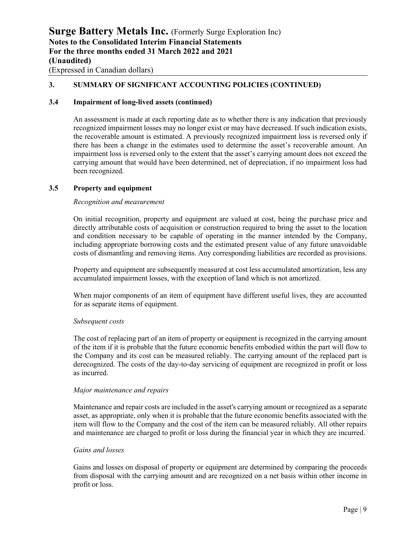### **3. SUMMARY OF SIGNIFICANT ACCOUNTING POLICIES (CONTINUED)**

### **3.4 Impairment of long-lived assets (continued)**

An assessment is made at each reporting date as to whether there is any indication that previously recognized impairment losses may no longer exist or may have decreased. If such indication exists, the recoverable amount is estimated. A previously recognized impairment loss is reversed only if there has been a change in the estimates used to determine the asset's recoverable amount. An impairment loss is reversed only to the extent that the asset's carrying amount does not exceed the carrying amount that would have been determined, net of depreciation, if no impairment loss had been recognized.

#### **3.5 Property and equipment**

#### *Recognition and measurement*

On initial recognition, property and equipment are valued at cost, being the purchase price and directly attributable costs of acquisition or construction required to bring the asset to the location and condition necessary to be capable of operating in the manner intended by the Company, including appropriate borrowing costs and the estimated present value of any future unavoidable costs of dismantling and removing items. Any corresponding liabilities are recorded as provisions.

Property and equipment are subsequently measured at cost less accumulated amortization, less any accumulated impairment losses, with the exception of land which is not amortized.

When major components of an item of equipment have different useful lives, they are accounted for as separate items of equipment.

#### *Subsequent costs*

The cost of replacing part of an item of property or equipment is recognized in the carrying amount of the item if it is probable that the future economic benefits embodied within the part will flow to the Company and its cost can be measured reliably. The carrying amount of the replaced part is derecognized. The costs of the day-to-day servicing of equipment are recognized in profit or loss as incurred.

#### *Major maintenance and repairs*

Maintenance and repair costs are included in the asset's carrying amount or recognized as a separate asset, as appropriate, only when it is probable that the future economic benefits associated with the item will flow to the Company and the cost of the item can be measured reliably. All other repairs and maintenance are charged to profit or loss during the financial year in which they are incurred.

#### *Gains and losses*

Gains and losses on disposal of property or equipment are determined by comparing the proceeds from disposal with the carrying amount and are recognized on a net basis within other income in profit or loss.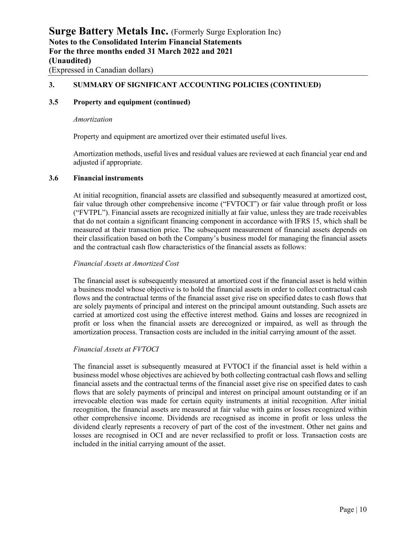### **3. SUMMARY OF SIGNIFICANT ACCOUNTING POLICIES (CONTINUED)**

### **3.5 Property and equipment (continued)**

#### *Amortization*

Property and equipment are amortized over their estimated useful lives.

Amortization methods, useful lives and residual values are reviewed at each financial year end and adjusted if appropriate.

#### **3.6 Financial instruments**

At initial recognition, financial assets are classified and subsequently measured at amortized cost, fair value through other comprehensive income ("FVTOCI") or fair value through profit or loss ("FVTPL"). Financial assets are recognized initially at fair value, unless they are trade receivables that do not contain a significant financing component in accordance with IFRS 15, which shall be measured at their transaction price. The subsequent measurement of financial assets depends on their classification based on both the Company's business model for managing the financial assets and the contractual cash flow characteristics of the financial assets as follows:

#### *Financial Assets at Amortized Cost*

The financial asset is subsequently measured at amortized cost if the financial asset is held within a business model whose objective is to hold the financial assets in order to collect contractual cash flows and the contractual terms of the financial asset give rise on specified dates to cash flows that are solely payments of principal and interest on the principal amount outstanding. Such assets are carried at amortized cost using the effective interest method. Gains and losses are recognized in profit or loss when the financial assets are derecognized or impaired, as well as through the amortization process. Transaction costs are included in the initial carrying amount of the asset.

### *Financial Assets at FVTOCI*

The financial asset is subsequently measured at FVTOCI if the financial asset is held within a business model whose objectives are achieved by both collecting contractual cash flows and selling financial assets and the contractual terms of the financial asset give rise on specified dates to cash flows that are solely payments of principal and interest on principal amount outstanding or if an irrevocable election was made for certain equity instruments at initial recognition. After initial recognition, the financial assets are measured at fair value with gains or losses recognized within other comprehensive income. Dividends are recognised as income in profit or loss unless the dividend clearly represents a recovery of part of the cost of the investment. Other net gains and losses are recognised in OCI and are never reclassified to profit or loss. Transaction costs are included in the initial carrying amount of the asset.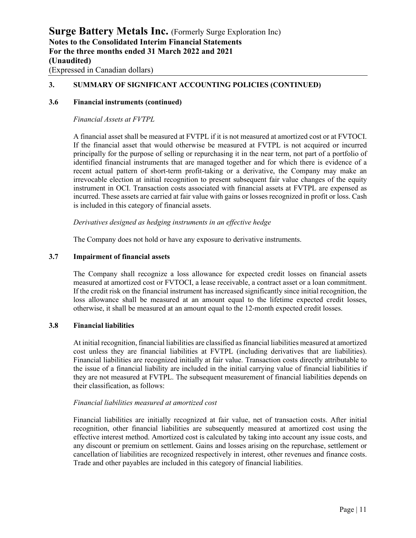### **3. SUMMARY OF SIGNIFICANT ACCOUNTING POLICIES (CONTINUED)**

#### **3.6 Financial instruments (continued)**

*Financial Assets at FVTPL*

A financial asset shall be measured at FVTPL if it is not measured at amortized cost or at FVTOCI. If the financial asset that would otherwise be measured at FVTPL is not acquired or incurred principally for the purpose of selling or repurchasing it in the near term, not part of a portfolio of identified financial instruments that are managed together and for which there is evidence of a recent actual pattern of short-term profit-taking or a derivative, the Company may make an irrevocable election at initial recognition to present subsequent fair value changes of the equity instrument in OCI. Transaction costs associated with financial assets at FVTPL are expensed as incurred. These assets are carried at fair value with gains or losses recognized in profit or loss. Cash is included in this category of financial assets.

#### *Derivatives designed as hedging instruments in an effective hedge*

The Company does not hold or have any exposure to derivative instruments.

#### **3.7 Impairment of financial assets**

The Company shall recognize a loss allowance for expected credit losses on financial assets measured at amortized cost or FVTOCI, a lease receivable, a contract asset or a loan commitment. If the credit risk on the financial instrument has increased significantly since initial recognition, the loss allowance shall be measured at an amount equal to the lifetime expected credit losses, otherwise, it shall be measured at an amount equal to the 12-month expected credit losses.

#### **3.8 Financial liabilities**

At initial recognition, financial liabilities are classified as financial liabilities measured at amortized cost unless they are financial liabilities at FVTPL (including derivatives that are liabilities). Financial liabilities are recognized initially at fair value. Transaction costs directly attributable to the issue of a financial liability are included in the initial carrying value of financial liabilities if they are not measured at FVTPL. The subsequent measurement of financial liabilities depends on their classification, as follows:

#### *Financial liabilities measured at amortized cost*

Financial liabilities are initially recognized at fair value, net of transaction costs. After initial recognition, other financial liabilities are subsequently measured at amortized cost using the effective interest method. Amortized cost is calculated by taking into account any issue costs, and any discount or premium on settlement. Gains and losses arising on the repurchase, settlement or cancellation of liabilities are recognized respectively in interest, other revenues and finance costs. Trade and other payables are included in this category of financial liabilities.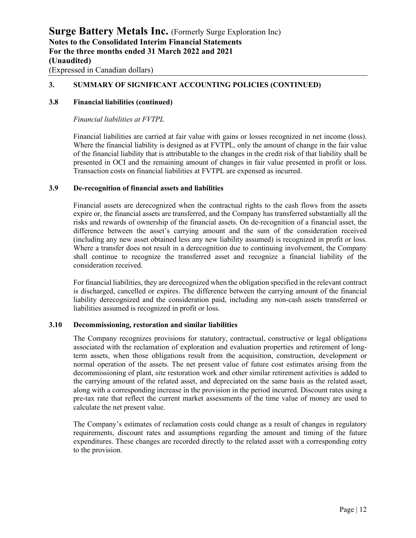### **3. SUMMARY OF SIGNIFICANT ACCOUNTING POLICIES (CONTINUED)**

#### **3.8 Financial liabilities (continued)**

*Financial liabilities at FVTPL*

Financial liabilities are carried at fair value with gains or losses recognized in net income (loss). Where the financial liability is designed as at FVTPL, only the amount of change in the fair value of the financial liability that is attributable to the changes in the credit risk of that liability shall be presented in OCI and the remaining amount of changes in fair value presented in profit or loss. Transaction costs on financial liabilities at FVTPL are expensed as incurred.

#### **3.9 De-recognition of financial assets and liabilities**

Financial assets are derecognized when the contractual rights to the cash flows from the assets expire or, the financial assets are transferred, and the Company has transferred substantially all the risks and rewards of ownership of the financial assets. On de-recognition of a financial asset, the difference between the asset's carrying amount and the sum of the consideration received (including any new asset obtained less any new liability assumed) is recognized in profit or loss. Where a transfer does not result in a derecognition due to continuing involvement, the Company shall continue to recognize the transferred asset and recognize a financial liability of the consideration received.

For financial liabilities, they are derecognized when the obligation specified in the relevant contract is discharged, cancelled or expires. The difference between the carrying amount of the financial liability derecognized and the consideration paid, including any non-cash assets transferred or liabilities assumed is recognized in profit or loss.

#### **3.10 Decommissioning, restoration and similar liabilities**

The Company recognizes provisions for statutory, contractual, constructive or legal obligations associated with the reclamation of exploration and evaluation properties and retirement of longterm assets, when those obligations result from the acquisition, construction, development or normal operation of the assets. The net present value of future cost estimates arising from the decommissioning of plant, site restoration work and other similar retirement activities is added to the carrying amount of the related asset, and depreciated on the same basis as the related asset, along with a corresponding increase in the provision in the period incurred. Discount rates using a pre-tax rate that reflect the current market assessments of the time value of money are used to calculate the net present value.

The Company's estimates of reclamation costs could change as a result of changes in regulatory requirements, discount rates and assumptions regarding the amount and timing of the future expenditures. These changes are recorded directly to the related asset with a corresponding entry to the provision.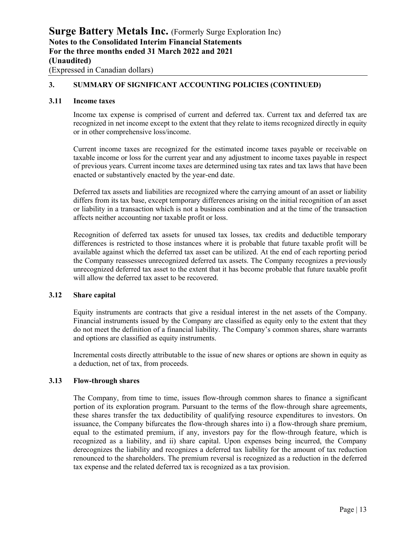### **3. SUMMARY OF SIGNIFICANT ACCOUNTING POLICIES (CONTINUED)**

### **3.11 Income taxes**

Income tax expense is comprised of current and deferred tax. Current tax and deferred tax are recognized in net income except to the extent that they relate to items recognized directly in equity or in other comprehensive loss/income.

Current income taxes are recognized for the estimated income taxes payable or receivable on taxable income or loss for the current year and any adjustment to income taxes payable in respect of previous years. Current income taxes are determined using tax rates and tax laws that have been enacted or substantively enacted by the year-end date.

Deferred tax assets and liabilities are recognized where the carrying amount of an asset or liability differs from its tax base, except temporary differences arising on the initial recognition of an asset or liability in a transaction which is not a business combination and at the time of the transaction affects neither accounting nor taxable profit or loss.

Recognition of deferred tax assets for unused tax losses, tax credits and deductible temporary differences is restricted to those instances where it is probable that future taxable profit will be available against which the deferred tax asset can be utilized. At the end of each reporting period the Company reassesses unrecognized deferred tax assets. The Company recognizes a previously unrecognized deferred tax asset to the extent that it has become probable that future taxable profit will allow the deferred tax asset to be recovered.

### **3.12 Share capital**

Equity instruments are contracts that give a residual interest in the net assets of the Company. Financial instruments issued by the Company are classified as equity only to the extent that they do not meet the definition of a financial liability. The Company's common shares, share warrants and options are classified as equity instruments.

Incremental costs directly attributable to the issue of new shares or options are shown in equity as a deduction, net of tax, from proceeds.

### **3.13 Flow-through shares**

The Company, from time to time, issues flow-through common shares to finance a significant portion of its exploration program. Pursuant to the terms of the flow-through share agreements, these shares transfer the tax deductibility of qualifying resource expenditures to investors. On issuance, the Company bifurcates the flow-through shares into i) a flow-through share premium, equal to the estimated premium, if any, investors pay for the flow-through feature, which is recognized as a liability, and ii) share capital. Upon expenses being incurred, the Company derecognizes the liability and recognizes a deferred tax liability for the amount of tax reduction renounced to the shareholders. The premium reversal is recognized as a reduction in the deferred tax expense and the related deferred tax is recognized as a tax provision.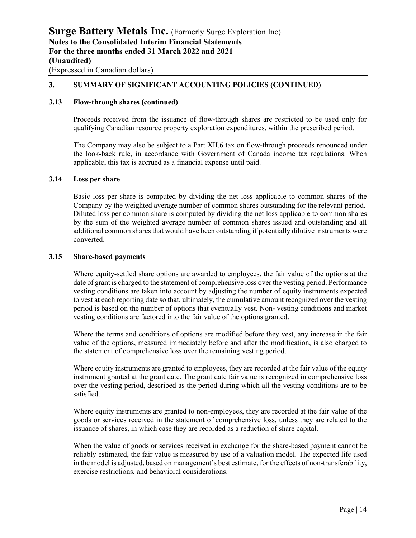### **3. SUMMARY OF SIGNIFICANT ACCOUNTING POLICIES (CONTINUED)**

### **3.13 Flow-through shares (continued)**

Proceeds received from the issuance of flow-through shares are restricted to be used only for qualifying Canadian resource property exploration expenditures, within the prescribed period.

The Company may also be subject to a Part XII.6 tax on flow-through proceeds renounced under the look-back rule, in accordance with Government of Canada income tax regulations. When applicable, this tax is accrued as a financial expense until paid.

#### **3.14 Loss per share**

Basic loss per share is computed by dividing the net loss applicable to common shares of the Company by the weighted average number of common shares outstanding for the relevant period. Diluted loss per common share is computed by dividing the net loss applicable to common shares by the sum of the weighted average number of common shares issued and outstanding and all additional common shares that would have been outstanding if potentially dilutive instruments were converted.

#### **3.15 Share-based payments**

Where equity-settled share options are awarded to employees, the fair value of the options at the date of grant is charged to the statement of comprehensive loss over the vesting period. Performance vesting conditions are taken into account by adjusting the number of equity instruments expected to vest at each reporting date so that, ultimately, the cumulative amount recognized over the vesting period is based on the number of options that eventually vest. Non- vesting conditions and market vesting conditions are factored into the fair value of the options granted.

Where the terms and conditions of options are modified before they vest, any increase in the fair value of the options, measured immediately before and after the modification, is also charged to the statement of comprehensive loss over the remaining vesting period.

Where equity instruments are granted to employees, they are recorded at the fair value of the equity instrument granted at the grant date. The grant date fair value is recognized in comprehensive loss over the vesting period, described as the period during which all the vesting conditions are to be satisfied.

Where equity instruments are granted to non-employees, they are recorded at the fair value of the goods or services received in the statement of comprehensive loss, unless they are related to the issuance of shares, in which case they are recorded as a reduction of share capital.

When the value of goods or services received in exchange for the share-based payment cannot be reliably estimated, the fair value is measured by use of a valuation model. The expected life used in the model is adjusted, based on management's best estimate, for the effects of non-transferability, exercise restrictions, and behavioral considerations.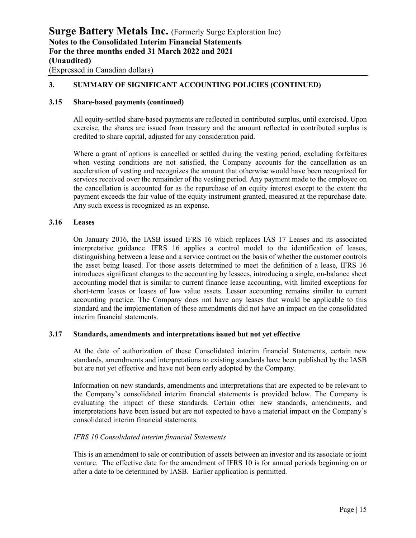### **3. SUMMARY OF SIGNIFICANT ACCOUNTING POLICIES (CONTINUED)**

### **3.15 Share-based payments (continued)**

All equity-settled share-based payments are reflected in contributed surplus, until exercised. Upon exercise, the shares are issued from treasury and the amount reflected in contributed surplus is credited to share capital, adjusted for any consideration paid.

Where a grant of options is cancelled or settled during the vesting period, excluding forfeitures when vesting conditions are not satisfied, the Company accounts for the cancellation as an acceleration of vesting and recognizes the amount that otherwise would have been recognized for services received over the remainder of the vesting period. Any payment made to the employee on the cancellation is accounted for as the repurchase of an equity interest except to the extent the payment exceeds the fair value of the equity instrument granted, measured at the repurchase date. Any such excess is recognized as an expense.

### **3.16 Leases**

On January 2016, the IASB issued IFRS 16 which replaces IAS 17 Leases and its associated interpretative guidance. IFRS 16 applies a control model to the identification of leases, distinguishing between a lease and a service contract on the basis of whether the customer controls the asset being leased. For those assets determined to meet the definition of a lease, IFRS 16 introduces significant changes to the accounting by lessees, introducing a single, on-balance sheet accounting model that is similar to current finance lease accounting, with limited exceptions for short-term leases or leases of low value assets. Lessor accounting remains similar to current accounting practice. The Company does not have any leases that would be applicable to this standard and the implementation of these amendments did not have an impact on the consolidated interim financial statements.

### **3.17 Standards, amendments and interpretations issued but not yet effective**

At the date of authorization of these Consolidated interim financial Statements, certain new standards, amendments and interpretations to existing standards have been published by the IASB but are not yet effective and have not been early adopted by the Company.

Information on new standards, amendments and interpretations that are expected to be relevant to the Company's consolidated interim financial statements is provided below. The Company is evaluating the impact of these standards. Certain other new standards, amendments, and interpretations have been issued but are not expected to have a material impact on the Company's consolidated interim financial statements.

### *IFRS 10 Consolidated interim financial Statements*

This is an amendment to sale or contribution of assets between an investor and its associate or joint venture. The effective date for the amendment of IFRS 10 is for annual periods beginning on or after a date to be determined by IASB. Earlier application is permitted.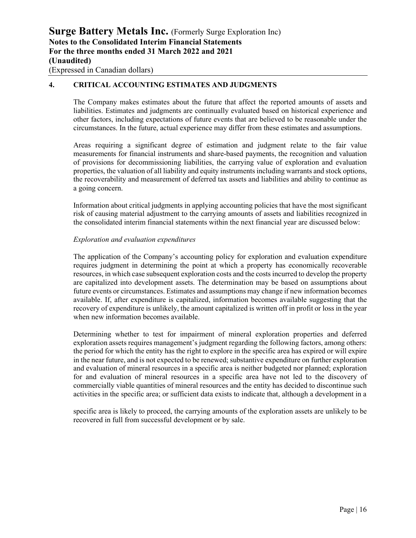### **4. CRITICAL ACCOUNTING ESTIMATES AND JUDGMENTS**

The Company makes estimates about the future that affect the reported amounts of assets and liabilities. Estimates and judgments are continually evaluated based on historical experience and other factors, including expectations of future events that are believed to be reasonable under the circumstances. In the future, actual experience may differ from these estimates and assumptions.

Areas requiring a significant degree of estimation and judgment relate to the fair value measurements for financial instruments and share-based payments, the recognition and valuation of provisions for decommissioning liabilities, the carrying value of exploration and evaluation properties, the valuation of all liability and equity instruments including warrants and stock options, the recoverability and measurement of deferred tax assets and liabilities and ability to continue as a going concern.

Information about critical judgments in applying accounting policies that have the most significant risk of causing material adjustment to the carrying amounts of assets and liabilities recognized in the consolidated interim financial statements within the next financial year are discussed below:

#### *Exploration and evaluation expenditures*

The application of the Company's accounting policy for exploration and evaluation expenditure requires judgment in determining the point at which a property has economically recoverable resources, in which case subsequent exploration costs and the costs incurred to develop the property are capitalized into development assets. The determination may be based on assumptions about future events or circumstances. Estimates and assumptions may change if new information becomes available. If, after expenditure is capitalized, information becomes available suggesting that the recovery of expenditure is unlikely, the amount capitalized is written off in profit or loss in the year when new information becomes available.

Determining whether to test for impairment of mineral exploration properties and deferred exploration assets requires management's judgment regarding the following factors, among others: the period for which the entity has the right to explore in the specific area has expired or will expire in the near future, and is not expected to be renewed; substantive expenditure on further exploration and evaluation of mineral resources in a specific area is neither budgeted nor planned; exploration for and evaluation of mineral resources in a specific area have not led to the discovery of commercially viable quantities of mineral resources and the entity has decided to discontinue such activities in the specific area; or sufficient data exists to indicate that, although a development in a

specific area is likely to proceed, the carrying amounts of the exploration assets are unlikely to be recovered in full from successful development or by sale.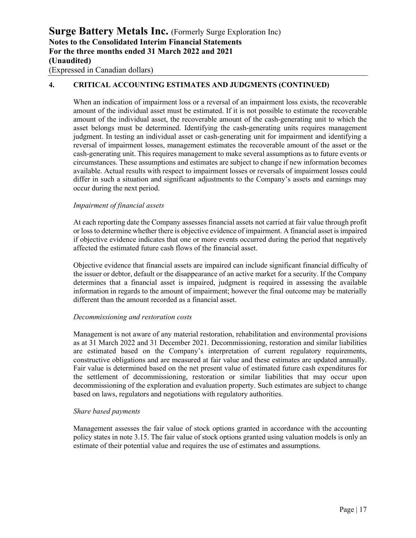### **4. CRITICAL ACCOUNTING ESTIMATES AND JUDGMENTS (CONTINUED)**

When an indication of impairment loss or a reversal of an impairment loss exists, the recoverable amount of the individual asset must be estimated. If it is not possible to estimate the recoverable amount of the individual asset, the recoverable amount of the cash-generating unit to which the asset belongs must be determined. Identifying the cash-generating units requires management judgment. In testing an individual asset or cash-generating unit for impairment and identifying a reversal of impairment losses, management estimates the recoverable amount of the asset or the cash-generating unit. This requires management to make several assumptions as to future events or circumstances. These assumptions and estimates are subject to change if new information becomes available. Actual results with respect to impairment losses or reversals of impairment losses could differ in such a situation and significant adjustments to the Company's assets and earnings may occur during the next period.

### *Impairment of financial assets*

At each reporting date the Company assesses financial assets not carried at fair value through profit or loss to determine whether there is objective evidence of impairment. A financial asset is impaired if objective evidence indicates that one or more events occurred during the period that negatively affected the estimated future cash flows of the financial asset.

Objective evidence that financial assets are impaired can include significant financial difficulty of the issuer or debtor, default or the disappearance of an active market for a security. If the Company determines that a financial asset is impaired, judgment is required in assessing the available information in regards to the amount of impairment; however the final outcome may be materially different than the amount recorded as a financial asset.

#### *Decommissioning and restoration costs*

Management is not aware of any material restoration, rehabilitation and environmental provisions as at 31 March 2022 and 31 December 2021. Decommissioning, restoration and similar liabilities are estimated based on the Company's interpretation of current regulatory requirements, constructive obligations and are measured at fair value and these estimates are updated annually. Fair value is determined based on the net present value of estimated future cash expenditures for the settlement of decommissioning, restoration or similar liabilities that may occur upon decommissioning of the exploration and evaluation property. Such estimates are subject to change based on laws, regulators and negotiations with regulatory authorities.

#### *Share based payments*

Management assesses the fair value of stock options granted in accordance with the accounting policy states in note 3.15. The fair value of stock options granted using valuation models is only an estimate of their potential value and requires the use of estimates and assumptions.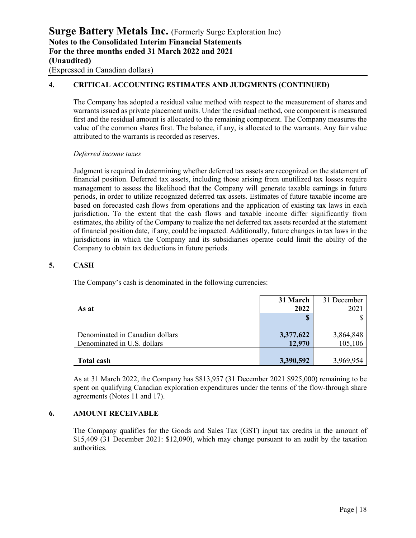### **4. CRITICAL ACCOUNTING ESTIMATES AND JUDGMENTS (CONTINUED)**

The Company has adopted a residual value method with respect to the measurement of shares and warrants issued as private placement units. Under the residual method, one component is measured first and the residual amount is allocated to the remaining component. The Company measures the value of the common shares first. The balance, if any, is allocated to the warrants. Any fair value attributed to the warrants is recorded as reserves.

### *Deferred income taxes*

Judgment is required in determining whether deferred tax assets are recognized on the statement of financial position. Deferred tax assets, including those arising from unutilized tax losses require management to assess the likelihood that the Company will generate taxable earnings in future periods, in order to utilize recognized deferred tax assets. Estimates of future taxable income are based on forecasted cash flows from operations and the application of existing tax laws in each jurisdiction. To the extent that the cash flows and taxable income differ significantly from estimates, the ability of the Company to realize the net deferred tax assets recorded at the statement of financial position date, if any, could be impacted. Additionally, future changes in tax laws in the jurisdictions in which the Company and its subsidiaries operate could limit the ability of the Company to obtain tax deductions in future periods.

### **5. CASH**

The Company's cash is denominated in the following currencies:

|                                 | 31 March  | 31 December |
|---------------------------------|-----------|-------------|
| As at                           | 2022      | 2021        |
|                                 |           |             |
|                                 |           |             |
| Denominated in Canadian dollars | 3,377,622 | 3,864,848   |
| Denominated in U.S. dollars     | 12,970    | 105,106     |
|                                 |           |             |
| <b>Total cash</b>               | 3,390,592 | 3,969,954   |

As at 31 March 2022, the Company has \$813,957 (31 December 2021 \$925,000) remaining to be spent on qualifying Canadian exploration expenditures under the terms of the flow-through share agreements (Notes 11 and 17).

### **6. AMOUNT RECEIVABLE**

The Company qualifies for the Goods and Sales Tax (GST) input tax credits in the amount of \$15,409 (31 December 2021: \$12,090), which may change pursuant to an audit by the taxation authorities.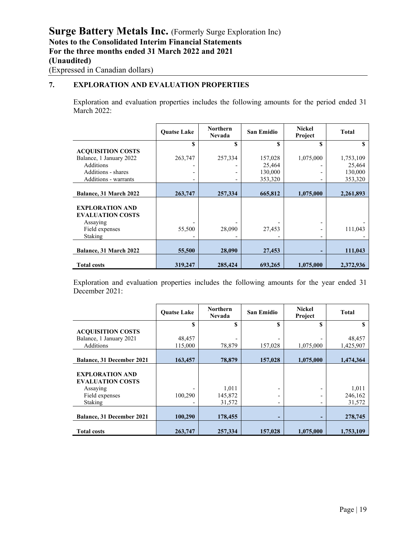### **7. EXPLORATION AND EVALUATION PROPERTIES**

Exploration and evaluation properties includes the following amounts for the period ended 31 March 2022:

|                                                                                 | <b>Ouatse Lake</b> | <b>Northern</b><br><b>Nevada</b> | <b>San Emidio</b> | <b>Nickel</b><br>Project | Total     |
|---------------------------------------------------------------------------------|--------------------|----------------------------------|-------------------|--------------------------|-----------|
|                                                                                 | \$                 | \$                               | \$                | \$                       |           |
| <b>ACQUISITION COSTS</b>                                                        |                    |                                  |                   |                          |           |
| Balance, 1 January 2022                                                         | 263,747            | 257,334                          | 157,028           | 1,075,000                | 1,753,109 |
| <b>Additions</b>                                                                |                    |                                  | 25,464            |                          | 25,464    |
| Additions - shares                                                              | ۰                  |                                  | 130,000           |                          | 130,000   |
| Additions - warrants                                                            | ۰                  |                                  | 353,320           |                          | 353,320   |
|                                                                                 |                    |                                  |                   |                          |           |
| Balance, 31 March 2022                                                          | 263,747            | 257,334                          | 665,812           | 1,075,000                | 2,261,893 |
| <b>EXPLORATION AND</b><br><b>EVALUATION COSTS</b><br>Assaying<br>Field expenses | 55,500             | 28,090                           | 27,453            |                          | 111,043   |
| <b>Staking</b>                                                                  |                    |                                  |                   |                          |           |
| Balance, 31 March 2022                                                          | 55,500             | 28,090                           | 27,453            |                          | 111,043   |
| <b>Total costs</b>                                                              | 319,247            | 285,424                          | 693,265           | 1,075,000                | 2,372,936 |

Exploration and evaluation properties includes the following amounts for the year ended 31 December 2021:

|                                  | <b>Ouatse Lake</b> | <b>Northern</b><br><b>Nevada</b> | <b>San Emidio</b> | <b>Nickel</b><br>Project | Total     |
|----------------------------------|--------------------|----------------------------------|-------------------|--------------------------|-----------|
|                                  | \$                 | \$                               | S                 | S                        |           |
| <b>ACQUISITION COSTS</b>         |                    |                                  |                   |                          |           |
| Balance, 1 January 2021          | 48,457             |                                  |                   |                          | 48,457    |
| <b>Additions</b>                 | 115,000            | 78,879                           | 157,028           | 1,075,000                | 1,425,907 |
|                                  |                    |                                  |                   |                          |           |
| <b>Balance, 31 December 2021</b> | 163,457            | 78,879                           | 157,028           | 1,075,000                | 1,474,364 |
|                                  |                    |                                  |                   |                          |           |
| <b>EXPLORATION AND</b>           |                    |                                  |                   |                          |           |
| <b>EVALUATION COSTS</b>          |                    |                                  |                   |                          |           |
| Assaying                         |                    | 1,011                            |                   |                          | 1,011     |
| Field expenses                   | 100,290            | 145,872                          | -                 |                          | 246,162   |
| Staking                          |                    | 31,572                           | -                 |                          | 31,572    |
|                                  |                    |                                  |                   |                          |           |
| <b>Balance, 31 December 2021</b> | 100,290            | 178,455                          | -                 |                          | 278,745   |
|                                  |                    |                                  |                   |                          |           |
| <b>Total costs</b>               | 263,747            | 257,334                          | 157,028           | 1,075,000                | 1,753,109 |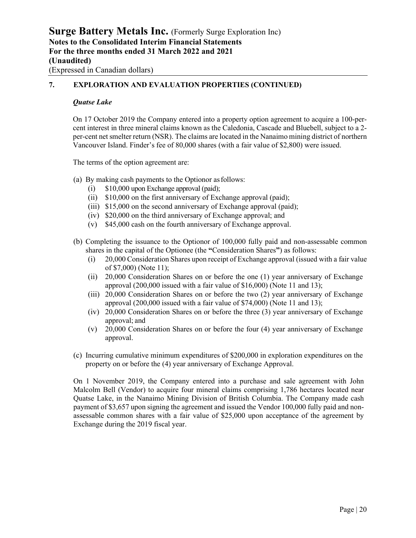### **7. EXPLORATION AND EVALUATION PROPERTIES (CONTINUED)**

#### *Quatse Lake*

On 17 October 2019 the Company entered into a property option agreement to acquire a 100-percent interest in three mineral claims known as the Caledonia, Cascade and Bluebell, subject to a 2 per-cent net smelter return (NSR). The claims are located in the Nanaimo mining district of northern Vancouver Island. Finder's fee of 80,000 shares (with a fair value of \$2,800) were issued.

The terms of the option agreement are:

- (a) By making cash payments to the Optionor asfollows:
	- (i) \$10,000 upon Exchange approval (paid);
	- (ii) \$10,000 on the first anniversary of Exchange approval (paid);
	- (iii) \$15,000 on the second anniversary of Exchange approval (paid);
	- (iv) \$20,000 on the third anniversary of Exchange approval; and
	- (v) \$45,000 cash on the fourth anniversary of Exchange approval.
- (b) Completing the issuance to the Optionor of 100,000 fully paid and non-assessable common shares in the capital of the Optionee (the **"**Consideration Shares**"**) as follows:
	- (i) 20,000 Consideration Shares upon receipt of Exchange approval (issued with a fair value of \$7,000) (Note 11);
	- (ii) 20,000 Consideration Shares on or before the one (1) year anniversary of Exchange approval (200,000 issued with a fair value of \$16,000) (Note 11 and 13);
	- (iii) 20,000 Consideration Shares on or before the two (2) year anniversary of Exchange approval (200,000 issued with a fair value of \$74,000) (Note 11 and 13);
	- (iv) 20,000 Consideration Shares on or before the three (3) year anniversary of Exchange approval; and
	- (v) 20,000 Consideration Shares on or before the four (4) year anniversary of Exchange approval.
- (c) Incurring cumulative minimum expenditures of \$200,000 in exploration expenditures on the property on or before the (4) year anniversary of Exchange Approval.

On 1 November 2019, the Company entered into a purchase and sale agreement with John Malcolm Bell (Vendor) to acquire four mineral claims comprising 1,786 hectares located near Quatse Lake, in the Nanaimo Mining Division of British Columbia. The Company made cash payment of \$3,657 upon signing the agreement and issued the Vendor 100,000 fully paid and nonassessable common shares with a fair value of \$25,000 upon acceptance of the agreement by Exchange during the 2019 fiscal year.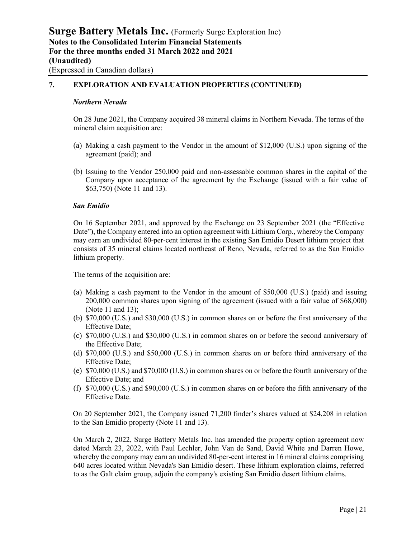### **7. EXPLORATION AND EVALUATION PROPERTIES (CONTINUED)**

#### *Northern Nevada*

On 28 June 2021, the Company acquired 38 mineral claims in Northern Nevada. The terms of the mineral claim acquisition are:

- (a) Making a cash payment to the Vendor in the amount of \$12,000 (U.S.) upon signing of the agreement (paid); and
- (b) Issuing to the Vendor 250,000 paid and non-assessable common shares in the capital of the Company upon acceptance of the agreement by the Exchange (issued with a fair value of \$63,750) (Note 11 and 13).

#### *San Emidio*

On 16 September 2021, and approved by the Exchange on 23 September 2021 (the "Effective Date"), the Company entered into an option agreement with Lithium Corp., whereby the Company may earn an undivided 80-per-cent interest in the existing San Emidio Desert lithium project that consists of 35 mineral claims located northeast of Reno, Nevada, referred to as the San Emidio lithium property.

The terms of the acquisition are:

- (a) Making a cash payment to the Vendor in the amount of \$50,000 (U.S.) (paid) and issuing 200,000 common shares upon signing of the agreement (issued with a fair value of \$68,000) (Note 11 and 13);
- (b) \$70,000 (U.S.) and \$30,000 (U.S.) in common shares on or before the first anniversary of the Effective Date;
- (c) \$70,000 (U.S.) and \$30,000 (U.S.) in common shares on or before the second anniversary of the Effective Date;
- (d) \$70,000 (U.S.) and \$50,000 (U.S.) in common shares on or before third anniversary of the Effective Date;
- (e) \$70,000 (U.S.) and \$70,000 (U.S.) in common shares on or before the fourth anniversary of the Effective Date; and
- (f) \$70,000 (U.S.) and \$90,000 (U.S.) in common shares on or before the fifth anniversary of the Effective Date.

On 20 September 2021, the Company issued 71,200 finder's shares valued at \$24,208 in relation to the San Emidio property (Note 11 and 13).

On March 2, 2022, Surge Battery Metals Inc. has amended the property option agreement now dated March 23, 2022, with Paul Lechler, John Van de Sand, David White and Darren Howe, whereby the company may earn an undivided 80-per-cent interest in 16 mineral claims comprising 640 acres located within Nevada's San Emidio desert. These lithium exploration claims, referred to as the Galt claim group, adjoin the company's existing San Emidio desert lithium claims.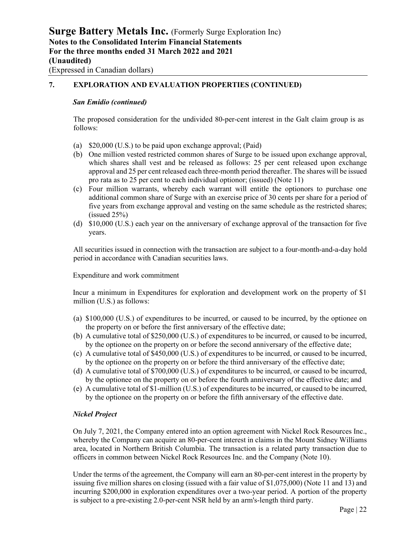### **7. EXPLORATION AND EVALUATION PROPERTIES (CONTINUED)**

#### *San Emidio (continued)*

The proposed consideration for the undivided 80-per-cent interest in the Galt claim group is as follows:

- (a) \$20,000 (U.S.) to be paid upon exchange approval; (Paid)
- (b) One million vested restricted common shares of Surge to be issued upon exchange approval, which shares shall vest and be released as follows: 25 per cent released upon exchange approval and 25 per cent released each three-month period thereafter. The shares will be issued pro rata as to 25 per cent to each individual optionor; (issued) (Note 11)
- (c) Four million warrants, whereby each warrant will entitle the optionors to purchase one additional common share of Surge with an exercise price of 30 cents per share for a period of five years from exchange approval and vesting on the same schedule as the restricted shares;  $(i$ ssued 25% $)$
- (d) \$10,000 (U.S.) each year on the anniversary of exchange approval of the transaction for five years.

All securities issued in connection with the transaction are subject to a four-month-and-a-day hold period in accordance with Canadian securities laws.

Expenditure and work commitment

Incur a minimum in Expenditures for exploration and development work on the property of \$1 million (U.S.) as follows:

- (a) \$100,000 (U.S.) of expenditures to be incurred, or caused to be incurred, by the optionee on the property on or before the first anniversary of the effective date;
- (b) A cumulative total of \$250,000 (U.S.) of expenditures to be incurred, or caused to be incurred, by the optionee on the property on or before the second anniversary of the effective date;
- (c) A cumulative total of \$450,000 (U.S.) of expenditures to be incurred, or caused to be incurred, by the optionee on the property on or before the third anniversary of the effective date;
- (d) A cumulative total of \$700,000 (U.S.) of expenditures to be incurred, or caused to be incurred, by the optionee on the property on or before the fourth anniversary of the effective date; and
- (e) A cumulative total of \$1-million (U.S.) of expenditures to be incurred, or caused to be incurred, by the optionee on the property on or before the fifth anniversary of the effective date.

### *Nickel Project*

On July 7, 2021, the Company entered into an option agreement with Nickel Rock Resources Inc., whereby the Company can acquire an 80-per-cent interest in claims in the Mount Sidney Williams area, located in Northern British Columbia. The transaction is a related party transaction due to officers in common between Nickel Rock Resources Inc. and the Company (Note 10).

Under the terms of the agreement, the Company will earn an 80-per-cent interest in the property by issuing five million shares on closing (issued with a fair value of \$1,075,000) (Note 11 and 13) and incurring \$200,000 in exploration expenditures over a two-year period. A portion of the property is subject to a pre-existing 2.0-per-cent NSR held by an arm's-length third party.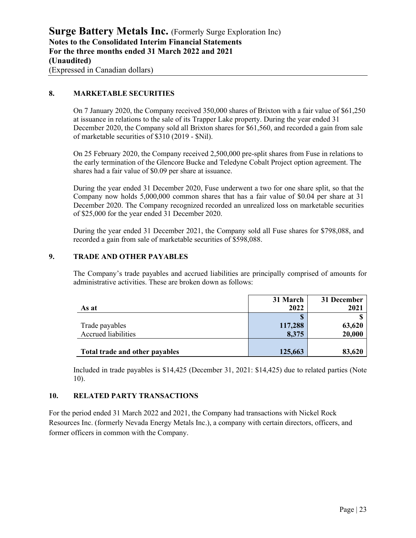### **8. MARKETABLE SECURITIES**

On 7 January 2020, the Company received 350,000 shares of Brixton with a fair value of \$61,250 at issuance in relations to the sale of its Trapper Lake property. During the year ended 31 December 2020, the Company sold all Brixton shares for \$61,560, and recorded a gain from sale of marketable securities of \$310 (2019 - \$Nil).

On 25 February 2020, the Company received 2,500,000 pre-split shares from Fuse in relations to the early termination of the Glencore Bucke and Teledyne Cobalt Project option agreement. The shares had a fair value of \$0.09 per share at issuance.

During the year ended 31 December 2020, Fuse underwent a two for one share split, so that the Company now holds 5,000,000 common shares that has a fair value of \$0.04 per share at 31 December 2020. The Company recognized recorded an unrealized loss on marketable securities of \$25,000 for the year ended 31 December 2020.

During the year ended 31 December 2021, the Company sold all Fuse shares for \$798,088, and recorded a gain from sale of marketable securities of \$598,088.

### **9. TRADE AND OTHER PAYABLES**

The Company's trade payables and accrued liabilities are principally comprised of amounts for administrative activities. These are broken down as follows:

|                                | 31 March | 31 December |
|--------------------------------|----------|-------------|
| As at                          | 2022     | 2021        |
|                                |          |             |
| Trade payables                 | 117,288  | 63,620      |
| <b>Accrued liabilities</b>     | 8,375    | 20,000      |
|                                |          |             |
| Total trade and other payables | 125,663  | 83,620      |

Included in trade payables is \$14,425 (December 31, 2021: \$14,425) due to related parties (Note 10).

### **10. RELATED PARTY TRANSACTIONS**

For the period ended 31 March 2022 and 2021, the Company had transactions with Nickel Rock Resources Inc. (formerly Nevada Energy Metals Inc.), a company with certain directors, officers, and former officers in common with the Company.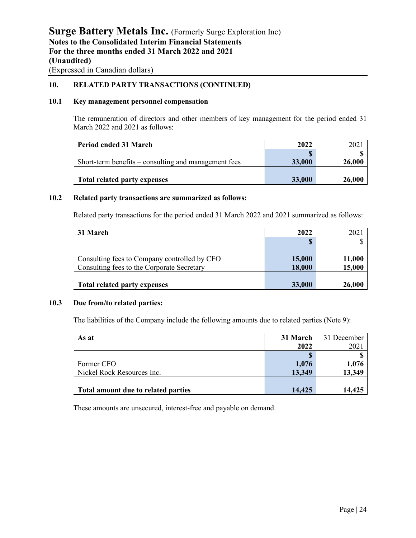**10. RELATED PARTY TRANSACTIONS (CONTINUED)**

### **10.1 Key management personnel compensation**

The remuneration of directors and other members of key management for the period ended 31 March 2022 and 2021 as follows:

| Period ended 31 March                                | 2022   |               |
|------------------------------------------------------|--------|---------------|
|                                                      |        |               |
| Short-term benefits – consulting and management fees | 33,000 | 26,000        |
|                                                      |        |               |
| <b>Total related party expenses</b>                  | 33,000 | <b>26,000</b> |

#### **10.2 Related party transactions are summarized as follows:**

Related party transactions for the period ended 31 March 2022 and 2021 summarized as follows:

| 31 March                                     | 2022   | 202    |
|----------------------------------------------|--------|--------|
|                                              |        |        |
|                                              |        |        |
| Consulting fees to Company controlled by CFO | 15,000 | 11,000 |
| Consulting fees to the Corporate Secretary   | 18,000 | 15,000 |
|                                              |        |        |
| <b>Total related party expenses</b>          | 33,000 | 26,000 |

### **10.3 Due from/to related parties:**

The liabilities of the Company include the following amounts due to related parties (Note 9):

| As at                               | 31 March | 31 December |
|-------------------------------------|----------|-------------|
|                                     | 2022     | 2021        |
|                                     |          |             |
| Former CFO                          | 1,076    | 1,076       |
| Nickel Rock Resources Inc.          | 13,349   | 13,349      |
|                                     |          |             |
| Total amount due to related parties | 14,425   | 14,425      |

These amounts are unsecured, interest-free and payable on demand.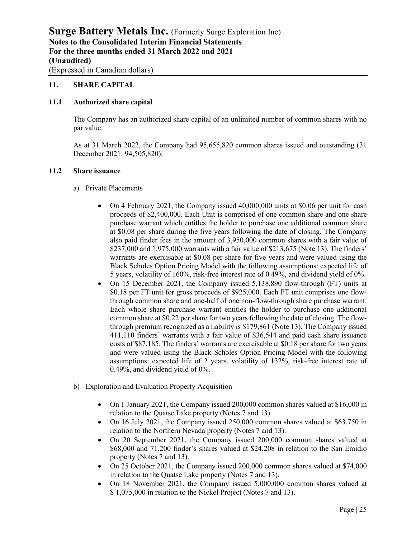### **11. SHARE CAPITAL**

#### **11.1 Authorized share capital**

The Company has an authorized share capital of an unlimited number of common shares with no par value.

As at 31 March 2022, the Company had 95,655,820 common shares issued and outstanding (31 December 2021: 94,505,820).

#### **11.2 Share issuance**

- a) Private Placements
	- On 4 February 2021, the Company issued 40,000,000 units at \$0.06 per unit for cash proceeds of \$2,400,000. Each Unit is comprised of one common share and one share purchase warrant which entitles the holder to purchase one additional common share at \$0.08 per share during the five years following the date of closing. The Company also paid finder fees in the amount of 3,950,000 common shares with a fair value of \$237,000 and 1,975,000 warrants with a fair value of \$213,675 (Note 13). The finders' warrants are exercisable at \$0.08 per share for five years and were valued using the Black Scholes Option Pricing Model with the following assumptions: expected life of 5 years, volatility of 160%, risk-free interest rate of 0.49%, and dividend yield of 0%.
	- On 15 December 2021, the Company issued 5,138,890 flow-through (FT) units at \$0.18 per FT unit for gross proceeds of \$925,000. Each FT unit comprises one flowthrough common share and one-half of one non-flow-through share purchase warrant. Each whole share purchase warrant entitles the holder to purchase one additional common share at \$0.22 per share for two years following the date of closing. The flowthrough premium recognized as a liability is \$179,861 (Note 13). The Company issued 411,110 finders' warrants with a fair value of \$36,544 and paid cash share issuance costs of \$87,185. The finders' warrants are exercisable at \$0.18 per share for two years and were valued using the Black Scholes Option Pricing Model with the following assumptions: expected life of 2 years, volatility of 132%, risk-free interest rate of 0.49%, and dividend yield of 0%.
- b) Exploration and Evaluation Property Acquisition
	- On 1 January 2021, the Company issued 200,000 common shares valued at \$16,000 in relation to the Quatse Lake property (Notes 7 and 13).
	- On 16 July 2021, the Company issued 250,000 common shares valued at \$63,750 in relation to the Northern Nevada property (Notes 7 and 13).
	- On 20 September 2021, the Company issued 200,000 common shares valued at \$68,000 and 71,200 finder's shares valued at \$24,208 in relation to the San Emidio property (Notes 7 and 13).
	- On 25 October 2021, the Company issued 200,000 common shares valued at \$74,000 in relation to the Quatse Lake property (Notes 7 and 13).
	- On 18 November 2021, the Company issued 5,000,000 common shares valued at \$ 1,075,000 in relation to the Nickel Project (Notes 7 and 13).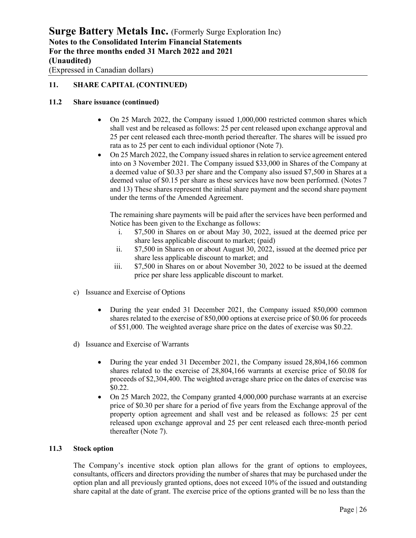### **11. SHARE CAPITAL (CONTINUED)**

### **11.2 Share issuance (continued)**

- On 25 March 2022, the Company issued 1,000,000 restricted common shares which shall vest and be released as follows: 25 per cent released upon exchange approval and 25 per cent released each three-month period thereafter. The shares will be issued pro rata as to 25 per cent to each individual optionor (Note 7).
- On 25 March 2022, the Company issued shares in relation to service agreement entered into on 3 November 2021. The Company issued \$33,000 in Shares of the Company at a deemed value of \$0.33 per share and the Company also issued \$7,500 in Shares at a deemed value of \$0.15 per share as these services have now been performed. (Notes 7 and 13) These shares represent the initial share payment and the second share payment under the terms of the Amended Agreement.

The remaining share payments will be paid after the services have been performed and Notice has been given to the Exchange as follows:

- i. \$7,500 in Shares on or about May 30, 2022, issued at the deemed price per share less applicable discount to market; (paid)
- ii. \$7,500 in Shares on or about August 30, 2022, issued at the deemed price per share less applicable discount to market; and
- iii. \$7,500 in Shares on or about November 30, 2022 to be issued at the deemed price per share less applicable discount to market.
- c) Issuance and Exercise of Options
	- During the year ended 31 December 2021, the Company issued 850,000 common shares related to the exercise of 850,000 options at exercise price of \$0.06 for proceeds of \$51,000. The weighted average share price on the dates of exercise was \$0.22.
- d) Issuance and Exercise of Warrants
	- During the year ended 31 December 2021, the Company issued 28,804,166 common shares related to the exercise of 28,804,166 warrants at exercise price of \$0.08 for proceeds of \$2,304,400. The weighted average share price on the dates of exercise was \$0.22.
	- On 25 March 2022, the Company granted 4,000,000 purchase warrants at an exercise price of \$0.30 per share for a period of five years from the Exchange approval of the property option agreement and shall vest and be released as follows: 25 per cent released upon exchange approval and 25 per cent released each three-month period thereafter (Note 7).

#### **11.3 Stock option**

The Company's incentive stock option plan allows for the grant of options to employees, consultants, officers and directors providing the number of shares that may be purchased under the option plan and all previously granted options, does not exceed 10% of the issued and outstanding share capital at the date of grant. The exercise price of the options granted will be no less than the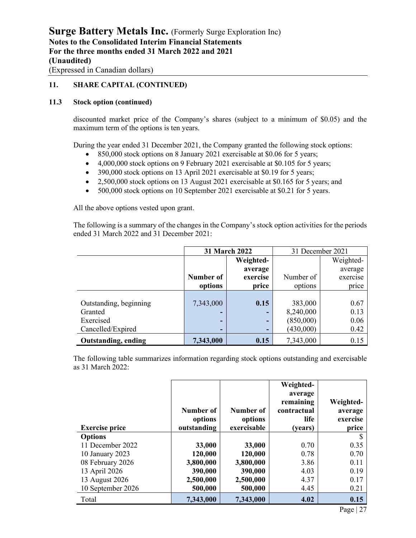### **11. SHARE CAPITAL (CONTINUED)**

### **11.3 Stock option (continued)**

discounted market price of the Company's shares (subject to a minimum of \$0.05) and the maximum term of the options is ten years.

During the year ended 31 December 2021, the Company granted the following stock options:

- 850,000 stock options on 8 January 2021 exercisable at \$0.06 for 5 years;
- 4,000,000 stock options on 9 February 2021 exercisable at \$0.105 for 5 years;
- 390,000 stock options on 13 April 2021 exercisable at \$0.19 for 5 years;
- 2,500,000 stock options on 13 August 2021 exercisable at \$0.165 for 5 years; and
- 500,000 stock options on 10 September 2021 exercisable at \$0.21 for 5 years.

All the above options vested upon grant.

The following is a summary of the changes in the Company's stock option activities for the periods ended 31 March 2022 and 31 December 2021:

|                            | 31 March 2022 |           | 31 December 2021 |           |
|----------------------------|---------------|-----------|------------------|-----------|
|                            |               | Weighted- |                  | Weighted- |
|                            |               | average   |                  | average   |
|                            | Number of     | exercise  | Number of        | exercise  |
|                            | options       | price     | options          | price     |
|                            |               |           |                  |           |
| Outstanding, beginning     | 7,343,000     | 0.15      | 383,000          | 0.67      |
| Granted                    | -             |           | 8,240,000        | 0.13      |
| Exercised                  | -             | -         | (850,000)        | 0.06      |
| Cancelled/Expired          | -             |           | (430,000)        | 0.42      |
| <b>Outstanding, ending</b> | 7,343,000     | 0.15      | 7,343,000        | 0.15      |

The following table summarizes information regarding stock options outstanding and exercisable as 31 March 2022:

|                       | Number of<br>options | Number of<br>options | Weighted-<br>average<br>remaining<br>contractual<br>life | Weighted-<br>average<br>exercise |
|-----------------------|----------------------|----------------------|----------------------------------------------------------|----------------------------------|
| <b>Exercise price</b> | outstanding          | exercisable          | (years)                                                  | price                            |
| <b>Options</b>        |                      |                      |                                                          |                                  |
| 11 December 2022      | 33,000               | 33,000               | 0.70                                                     | 0.35                             |
| 10 January 2023       | 120,000              | 120,000              | 0.78                                                     | 0.70                             |
| 08 February 2026      | 3,800,000            | 3,800,000            | 3.86                                                     | 0.11                             |
| 13 April 2026         | 390,000              | 390,000              | 4.03                                                     | 0.19                             |
| 13 August 2026        | 2,500,000            | 2,500,000            | 4.37                                                     | 0.17                             |
| 10 September 2026     | 500,000              | 500,000              | 4.45                                                     | 0.21                             |
| Total                 | 7,343,000            | 7,343,000            | 4.02                                                     | 0.15                             |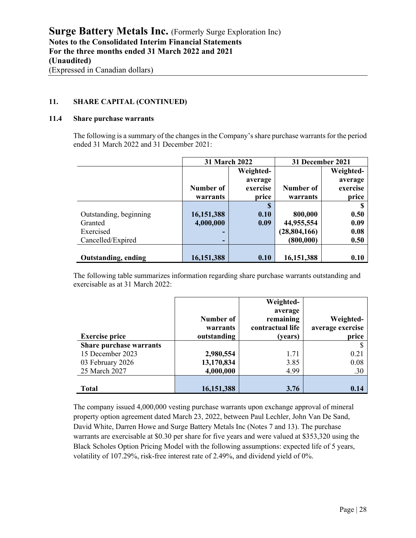### **11. SHARE CAPITAL (CONTINUED)**

### **11.4 Share purchase warrants**

The following is a summary of the changes in the Company's share purchase warrants for the period ended 31 March 2022 and 31 December 2021:

|                            | 31 March 2022 |           | 31 December 2021 |           |
|----------------------------|---------------|-----------|------------------|-----------|
|                            |               | Weighted- |                  | Weighted- |
|                            |               | average   |                  | average   |
|                            | Number of     | exercise  | Number of        | exercise  |
|                            | warrants      | price     | warrants         | price     |
|                            |               | S         |                  |           |
| Outstanding, beginning     | 16,151,388    | 0.10      | 800,000          | 0.50      |
| Granted                    | 4,000,000     | 0.09      | 44,955,554       | 0.09      |
| Exercised                  |               |           | (28, 804, 166)   | 0.08      |
| Cancelled/Expired          | -             |           | (800, 000)       | 0.50      |
|                            |               |           |                  |           |
| <b>Outstanding, ending</b> | 16, 151, 388  | 0.10      | 16, 151, 388     | 0.10      |

The following table summarizes information regarding share purchase warrants outstanding and exercisable as at 31 March 2022:

|                         |              | Weighted-        |                  |
|-------------------------|--------------|------------------|------------------|
|                         |              | average          |                  |
|                         | Number of    | remaining        | Weighted-        |
|                         | warrants     | contractual life | average exercise |
| <b>Exercise price</b>   | outstanding  | (years)          | price            |
| Share purchase warrants |              |                  |                  |
| 15 December 2023        | 2,980,554    | 1.71             | 0.21             |
| 03 February 2026        | 13,170,834   | 3.85             | 0.08             |
| 25 March 2027           | 4,000,000    | 4.99             | .30              |
|                         |              |                  |                  |
| <b>Total</b>            | 16, 151, 388 | 3.76             | 0.14             |

The company issued 4,000,000 vesting purchase warrants upon exchange approval of mineral property option agreement dated March 23, 2022, between Paul Lechler, John Van De Sand, David White, Darren Howe and Surge Battery Metals Inc (Notes 7 and 13). The purchase warrants are exercisable at \$0.30 per share for five years and were valued at \$353,320 using the Black Scholes Option Pricing Model with the following assumptions: expected life of 5 years, volatility of 107.29%, risk-free interest rate of 2.49%, and dividend yield of 0%.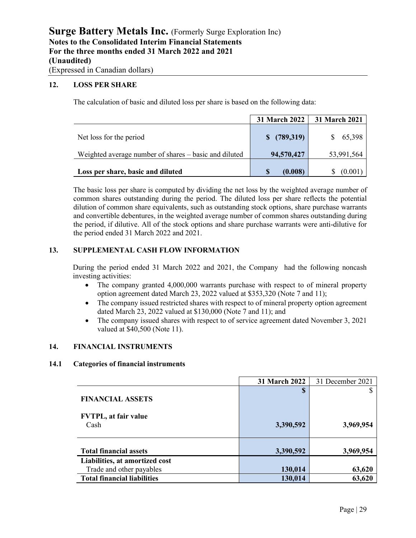#### **12. LOSS PER SHARE**

The calculation of basic and diluted loss per share is based on the following data:

|                                                       | <b>31 March 2022</b> | 31 March 2021 |
|-------------------------------------------------------|----------------------|---------------|
| Net loss for the period                               | $$^{(789,319)}$$     | 65,398        |
| Weighted average number of shares – basic and diluted | 94,570,427           | 53,991,564    |
| Loss per share, basic and diluted                     | (0.008)              | (0.001        |

The basic loss per share is computed by dividing the net loss by the weighted average number of common shares outstanding during the period. The diluted loss per share reflects the potential dilution of common share equivalents, such as outstanding stock options, share purchase warrants and convertible debentures, in the weighted average number of common shares outstanding during the period, if dilutive. All of the stock options and share purchase warrants were anti-dilutive for the period ended 31 March 2022 and 2021.

### **13. SUPPLEMENTAL CASH FLOW INFORMATION**

During the period ended 31 March 2022 and 2021, the Company had the following noncash investing activities:

- The company granted 4,000,000 warrants purchase with respect to of mineral property option agreement dated March 23, 2022 valued at \$353,320 (Note 7 and 11);
- The company issued restricted shares with respect to of mineral property option agreement dated March 23, 2022 valued at \$130,000 (Note 7 and 11); and
- The company issued shares with respect to of service agreement dated November 3, 2021 valued at \$40,500 (Note 11).

### **14. FINANCIAL INSTRUMENTS**

#### **14.1 Categories of financial instruments**

|                                     | 31 March 2022 | 31 December 2021 |
|-------------------------------------|---------------|------------------|
| <b>FINANCIAL ASSETS</b>             | \$            |                  |
| <b>FVTPL, at fair value</b><br>Cash | 3,390,592     | 3,969,954        |
| <b>Total financial assets</b>       | 3,390,592     | 3,969,954        |
| Liabilities, at amortized cost      |               |                  |
| Trade and other payables            | 130,014       | 63,620           |
| <b>Total financial liabilities</b>  | 130,014       | 63,620           |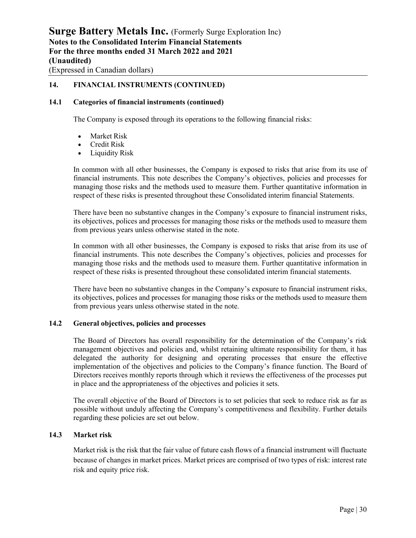### **14. FINANCIAL INSTRUMENTS (CONTINUED)**

#### **14.1 Categories of financial instruments (continued)**

The Company is exposed through its operations to the following financial risks:

- Market Risk
- Credit Risk
- Liquidity Risk

In common with all other businesses, the Company is exposed to risks that arise from its use of financial instruments. This note describes the Company's objectives, policies and processes for managing those risks and the methods used to measure them. Further quantitative information in respect of these risks is presented throughout these Consolidated interim financial Statements.

There have been no substantive changes in the Company's exposure to financial instrument risks, its objectives, polices and processes for managing those risks or the methods used to measure them from previous years unless otherwise stated in the note.

In common with all other businesses, the Company is exposed to risks that arise from its use of financial instruments. This note describes the Company's objectives, policies and processes for managing those risks and the methods used to measure them. Further quantitative information in respect of these risks is presented throughout these consolidated interim financial statements.

There have been no substantive changes in the Company's exposure to financial instrument risks, its objectives, polices and processes for managing those risks or the methods used to measure them from previous years unless otherwise stated in the note.

#### **14.2 General objectives, policies and processes**

The Board of Directors has overall responsibility for the determination of the Company's risk management objectives and policies and, whilst retaining ultimate responsibility for them, it has delegated the authority for designing and operating processes that ensure the effective implementation of the objectives and policies to the Company's finance function. The Board of Directors receives monthly reports through which it reviews the effectiveness of the processes put in place and the appropriateness of the objectives and policies it sets.

The overall objective of the Board of Directors is to set policies that seek to reduce risk as far as possible without unduly affecting the Company's competitiveness and flexibility. Further details regarding these policies are set out below.

#### **14.3 Market risk**

Market risk is the risk that the fair value of future cash flows of a financial instrument will fluctuate because of changes in market prices. Market prices are comprised of two types of risk: interest rate risk and equity price risk.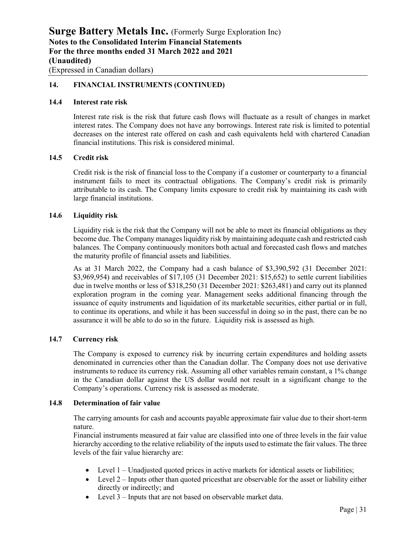### **14. FINANCIAL INSTRUMENTS (CONTINUED)**

#### **14.4 Interest rate risk**

Interest rate risk is the risk that future cash flows will fluctuate as a result of changes in market interest rates. The Company does not have any borrowings. Interest rate risk is limited to potential decreases on the interest rate offered on cash and cash equivalents held with chartered Canadian financial institutions. This risk is considered minimal.

#### **14.5 Credit risk**

Credit risk is the risk of financial loss to the Company if a customer or counterparty to a financial instrument fails to meet its contractual obligations. The Company's credit risk is primarily attributable to its cash. The Company limits exposure to credit risk by maintaining its cash with large financial institutions.

#### **14.6 Liquidity risk**

Liquidity risk is the risk that the Company will not be able to meet its financial obligations as they become due. The Company manages liquidity risk by maintaining adequate cash and restricted cash balances. The Company continuously monitors both actual and forecasted cash flows and matches the maturity profile of financial assets and liabilities.

As at 31 March 2022, the Company had a cash balance of \$3,390,592 (31 December 2021: \$3,969,954) and receivables of \$17,105 (31 December 2021: \$15,652) to settle current liabilities due in twelve months or less of \$318,250 (31 December 2021: \$263,481) and carry out its planned exploration program in the coming year. Management seeks additional financing through the issuance of equity instruments and liquidation of its marketable securities, either partial or in full, to continue its operations, and while it has been successful in doing so in the past, there can be no assurance it will be able to do so in the future. Liquidity risk is assessed as high.

#### **14.7 Currency risk**

The Company is exposed to currency risk by incurring certain expenditures and holding assets denominated in currencies other than the Canadian dollar. The Company does not use derivative instruments to reduce its currency risk. Assuming all other variables remain constant, a 1% change in the Canadian dollar against the US dollar would not result in a significant change to the Company's operations. Currency risk is assessed as moderate.

#### **14.8 Determination of fair value**

The carrying amounts for cash and accounts payable approximate fair value due to their short-term nature.

Financial instruments measured at fair value are classified into one of three levels in the fair value hierarchy according to the relative reliability of the inputs used to estimate the fair values. The three levels of the fair value hierarchy are:

- Level 1 Unadjusted quoted prices in active markets for identical assets or liabilities;
- Level 2 Inputs other than quoted prices that are observable for the asset or liability either directly or indirectly; and
- Level 3 Inputs that are not based on observable market data.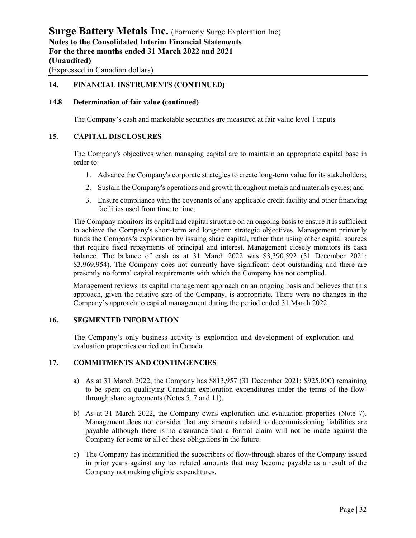### **14. FINANCIAL INSTRUMENTS (CONTINUED)**

### **14.8 Determination of fair value (continued)**

The Company's cash and marketable securities are measured at fair value level 1 inputs

### **15. CAPITAL DISCLOSURES**

The Company's objectives when managing capital are to maintain an appropriate capital base in order to:

- 1. Advance the Company's corporate strategies to create long-term value for its stakeholders;
- 2. Sustain the Company's operations and growth throughout metals and materials cycles; and
- 3. Ensure compliance with the covenants of any applicable credit facility and other financing facilities used from time to time.

The Company monitors its capital and capital structure on an ongoing basis to ensure it is sufficient to achieve the Company's short-term and long-term strategic objectives. Management primarily funds the Company's exploration by issuing share capital, rather than using other capital sources that require fixed repayments of principal and interest. Management closely monitors its cash balance. The balance of cash as at 31 March 2022 was \$3,390,592 (31 December 2021: \$3,969,954). The Company does not currently have significant debt outstanding and there are presently no formal capital requirements with which the Company has not complied.

Management reviews its capital management approach on an ongoing basis and believes that this approach, given the relative size of the Company, is appropriate. There were no changes in the Company's approach to capital management during the period ended 31 March 2022.

### **16. SEGMENTED INFORMATION**

The Company's only business activity is exploration and development of exploration and evaluation properties carried out in Canada.

### **17. COMMITMENTS AND CONTINGENCIES**

- a) As at 31 March 2022, the Company has \$813,957 (31 December 2021: \$925,000) remaining to be spent on qualifying Canadian exploration expenditures under the terms of the flowthrough share agreements (Notes 5, 7 and 11).
- b) As at 31 March 2022, the Company owns exploration and evaluation properties (Note 7). Management does not consider that any amounts related to decommissioning liabilities are payable although there is no assurance that a formal claim will not be made against the Company for some or all of these obligations in the future.
- c) The Company has indemnified the subscribers of flow-through shares of the Company issued in prior years against any tax related amounts that may become payable as a result of the Company not making eligible expenditures.